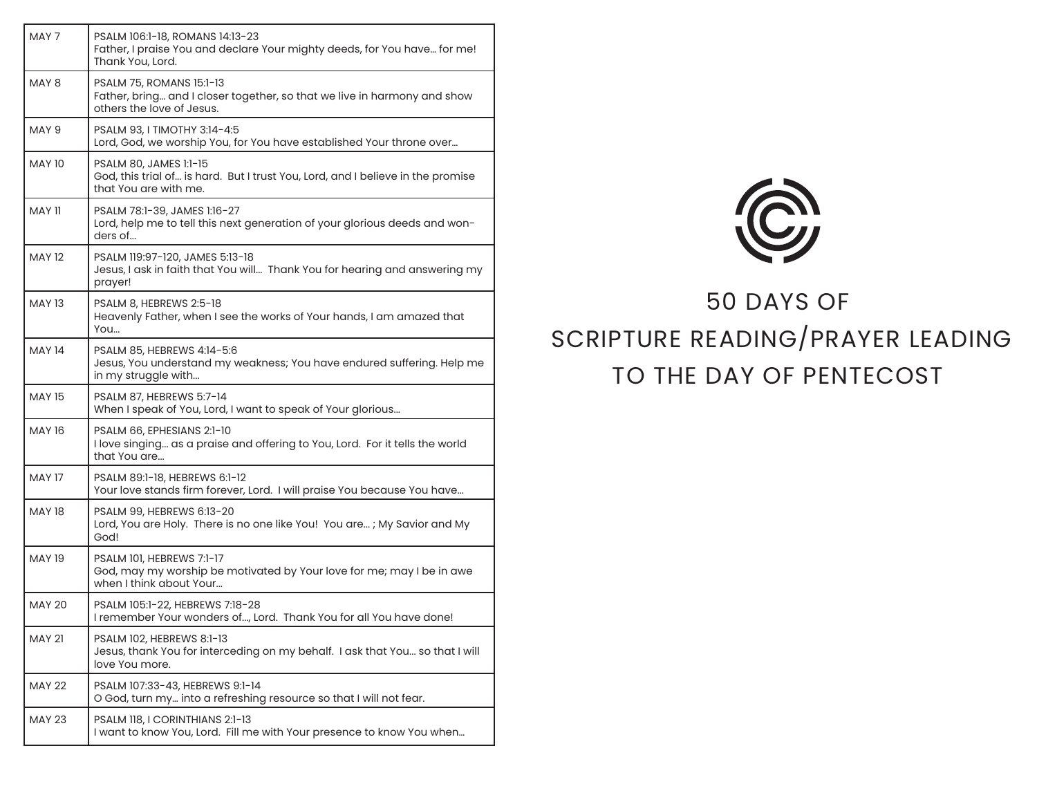| MAY 7         | PSALM 106:1-18, ROMANS 14:13-23<br>Father, I praise You and declare Your mighty deeds, for You have for me!<br>Thank You, Lord.      |
|---------------|--------------------------------------------------------------------------------------------------------------------------------------|
| MAY 8         | PSALM 75, ROMANS 15:1-13<br>Father, bring and I closer together, so that we live in harmony and show<br>others the love of Jesus.    |
| MAY 9         | PSALM 93, I TIMOTHY 3:14-4:5<br>Lord, God, we worship You, for You have established Your throne over                                 |
| <b>MAY 10</b> | PSALM 80, JAMES 1:1-15<br>God, this trial of is hard. But I trust You, Lord, and I believe in the promise<br>that You are with me.   |
| MAY 11        | PSALM 78:1-39, JAMES 1:16-27<br>Lord, help me to tell this next generation of your glorious deeds and won-<br>ders of                |
| <b>MAY 12</b> | PSALM 119:97-120, JAMES 5:13-18<br>Jesus, I ask in faith that You will Thank You for hearing and answering my<br>prayer!             |
| <b>MAY 13</b> | PSALM 8, HEBREWS 2:5-18<br>Heavenly Father, when I see the works of Your hands, I am amazed that<br>You                              |
| <b>MAY 14</b> | PSALM 85, HEBREWS 4:14-5:6<br>Jesus, You understand my weakness; You have endured suffering. Help me<br>in my struggle with          |
| <b>MAY 15</b> | PSALM 87, HEBREWS 5:7-14<br>When I speak of You, Lord, I want to speak of Your glorious                                              |
| MAY 16        | PSALM 66, EPHESIANS 2:1-10<br>I love singing as a praise and offering to You, Lord. For it tells the world<br>that You are           |
| <b>MAY 17</b> | PSALM 89:1-18, HEBREWS 6:1-12<br>Your love stands firm forever, Lord. I will praise You because You have                             |
| <b>MAY 18</b> | PSALM 99, HEBREWS 6:13-20<br>Lord, You are Holy. There is no one like You! You are; My Savior and My<br>God!                         |
| <b>MAY 19</b> | <b>PSALM 101, HEBREWS 7:1-17</b><br>God, may my worship be motivated by Your love for me; may I be in awe<br>when I think about Your |
| <b>MAY 20</b> | PSALM 105:1-22, HEBREWS 7:18-28<br>I remember Your wonders of, Lord. Thank You for all You have done!                                |
| <b>MAY 21</b> | PSALM 102, HEBREWS 8:1-13<br>Jesus, thank You for interceding on my behalf. I ask that You so that I will<br>love You more.          |
| <b>MAY 22</b> | PSALM 107:33-43, HEBREWS 9:1-14<br>O God, turn my into a refreshing resource so that I will not fear.                                |
| <b>MAY 23</b> | PSALM 118, I CORINTHIANS 2:1-13<br>I want to know You, Lord. Fill me with Your presence to know You when                             |



## 50 DAYS OF SCRIPTURE READING/PRAYER LEADING TO THE DAY OF PENTECOST